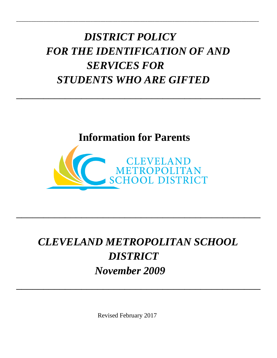# *DISTRICT POLICY FOR THE IDENTIFICATION OF AND SERVICES FOR STUDENTS WHO ARE GIFTED*

 $\overline{\phantom{a}}$  , and the contract of the contract of the contract of the contract of the contract of the contract of the contract of the contract of the contract of the contract of the contract of the contract of the contrac

\_\_\_\_\_\_\_\_\_\_\_\_\_\_\_\_\_\_\_\_\_\_\_\_\_\_\_\_\_\_\_\_\_\_\_\_\_\_\_\_\_\_\_\_\_\_\_\_\_\_\_\_\_\_\_\_\_\_\_\_\_\_\_\_\_\_\_\_\_\_\_\_\_\_\_\_\_\_\_\_\_\_\_\_\_\_\_\_\_\_\_\_\_\_\_\_\_\_





# *CLEVELAND METROPOLITAN SCHOOL DISTRICT November 2009*

 $\overline{\phantom{a}}$  , and the contract of the contract of the contract of the contract of the contract of the contract of the contract of the contract of the contract of the contract of the contract of the contract of the contrac

 $\overline{\phantom{a}}$  , and the contract of the contract of the contract of the contract of the contract of the contract of the contract of the contract of the contract of the contract of the contract of the contract of the contrac

Revised February 2017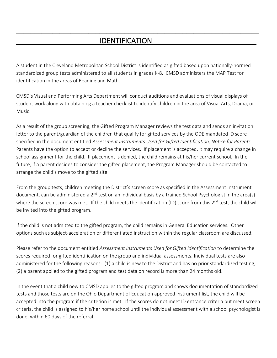### **IDENTIFICATION**

A student in the Cleveland Metropolitan School District is identified as gifted based upon nationally-normed standardized group tests administered to all students in grades K-8. CMSD administers the MAP Test for identification in the areas of Reading and Math.

**\_\_\_\_\_\_\_\_\_\_\_\_\_\_\_\_\_\_\_\_\_\_\_\_\_\_\_\_\_\_\_\_\_\_\_\_\_\_\_\_\_\_\_\_\_\_\_\_\_\_\_\_\_\_\_\_\_\_\_\_\_\_\_\_\_\_\_**

CMSD's Visual and Performing Arts Department will conduct auditions and evaluations of visual displays of student work along with obtaining a teacher checklist to identify children in the area of Visual Arts, Drama, or Music.

As a result of the group screening, the Gifted Program Manager reviews the test data and sends an invitation letter to the parent/guardian of the children that qualify for gifted services by the ODE mandated ID score specified in the document entitled *Assessment Instruments Used for Gifted Identification, Notice for Parents.* Parents have the option to accept or decline the services. If placement is accepted, it may require a change in school assignment for the child. If placement is denied, the child remains at his/her current school. In the future, if a parent decides to consider the gifted placement, the Program Manager should be contacted to arrange the child's move to the gifted site.

From the group tests, children meeting the District's screen score as specified in the Assessment Instrument document, can be administered a 2<sup>nd</sup> test on an individual basis by a trained School Psychologist in the area(s) where the screen score was met. If the child meets the identification (ID) score from this 2<sup>nd</sup> test, the child will be invited into the gifted program.

If the child is not admitted to the gifted program, the child remains in General Education services. Other options such as subject-acceleration or differentiated instruction within the regular classroom are discussed.

Please refer to the document entitled *Assessment Instruments Used for Gifted Identification* to determine the scores required for gifted identification on the group and individual assessments. Individual tests are also administered for the following reasons: (1) a child is new to the District and has no prior standardized testing; (2) a parent applied to the gifted program and test data on record is more than 24 months old.

In the event that a child new to CMSD applies to the gifted program and shows documentation of standardized tests and those tests are on the Ohio Department of Education approved instrument list, the child will be accepted into the program if the criterion is met. If the scores do not meet ID entrance criteria but meet screen criteria, the child is assigned to his/her home school until the individual assessment with a school psychologist is done, within 60 days of the referral.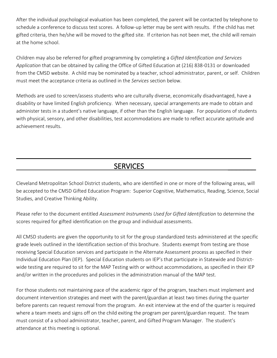After the individual psychological evaluation has been completed, the parent will be contacted by telephone to schedule a conference to discuss test scores. A follow-up letter may be sent with results. If the child has met gifted criteria, then he/she will be moved to the gifted site. If criterion has not been met, the child will remain at the home school.

Children may also be referred for gifted programming by completing a *Gifted Identification and Services Application* that can be obtained by calling the Office of Gifted Education at (216) 838-0131 or downloaded from the CMSD website. A child may be nominated by a teacher, school administrator, parent, or self. Children must meet the acceptance criteria as outlined in the *Services* section below.

Methods are used to screen/assess students who are culturally diverse, economically disadvantaged, have a disability or have limited English proficiency. When necessary, special arrangements are made to obtain and administer tests in a student's native language, if other than the English language. For populations of students with physical, sensory, and other disabilities, test accommodations are made to reflect accurate aptitude and achievement results.

#### SERVICES

 $\overline{\phantom{a}}$ 

Cleveland Metropolitan School District students, who are identified in one or more of the following areas, will be accepted to the CMSD Gifted Education Program: Superior Cognitive, Mathematics, Reading, Science, Social Studies, and Creative Thinking Ability.

Please refer to the document entitled *Assessment Instruments Used for Gifted Identification* to determine the scores required for gifted identification on the group and individual assessments.

All CMSD students are given the opportunity to sit for the group standardized tests administered at the specific grade levels outlined in the Identification section of this brochure. Students exempt from testing are those receiving Special Education services and participate in the Alternate Assessment process as specified in their Individual Education Plan (IEP). Special Education students on IEP's that participate in Statewide and Districtwide testing are required to sit for the MAP Testing with or without accommodations, as specified in their IEP and/or written in the procedures and policies in the administration manual of the MAP test.

For those students not maintaining pace of the academic rigor of the program, teachers must implement and document intervention strategies and meet with the parent/guardian at least two times during the quarter before parents can request removal from the program. An exit interview at the end of the quarter is required where a team meets and signs off on the child exiting the program per parent/guardian request. The team must consist of a school administrator, teacher, parent, and Gifted Program Manager. The student's attendance at this meeting is optional.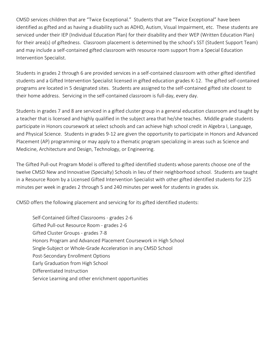CMSD services children that are "Twice Exceptional." Students that are "Twice Exceptional" have been identified as gifted and as having a disability such as ADHD, Autism, Visual Impairment, etc. These students are serviced under their IEP (Individual Education Plan) for their disability and their WEP (Written Education Plan) for their area(s) of giftedness. Classroom placement is determined by the school's SST (Student Support Team) and may include a self-contained gifted classroom with resource room support from a Special Education Intervention Specialist.

Students in grades 2 through 6 are provided services in a self-contained classroom with other gifted identified students and a Gifted Intervention Specialist licensed in gifted education grades K-12. The gifted self-contained programs are located in 5 designated sites. Students are assigned to the self-contained gifted site closest to their home address. Servicing in the self-contained classroom is full-day, every day.

Students in grades 7 and 8 are serviced in a gifted cluster group in a general education classroom and taught by a teacher that is licensed and highly qualified in the subject area that he/she teaches. Middle grade students participate in Honors coursework at select schools and can achieve high school credit in Algebra I, Language, and Physical Science. Students in grades 9-12 are given the opportunity to participate in Honors and Advanced Placement (AP) programming or may apply to a thematic program specializing in areas such as Science and Medicine, Architecture and Design, Technology, or Engineering.

The Gifted Pull-out Program Model is offered to gifted identified students whose parents choose one of the twelve CMSD New and Innovative (Specialty) Schools in lieu of their neighborhood school. Students are taught in a Resource Room by a Licensed Gifted Intervention Specialist with other gifted identified students for 225 minutes per week in grades 2 through 5 and 240 minutes per week for students in grades six.

CMSD offers the following placement and servicing for its gifted identified students:

Self-Contained Gifted Classrooms - grades 2-6 Gifted Pull-out Resource Room - grades 2-6 Gifted Cluster Groups - grades 7-8 Honors Program and Advanced Placement Coursework in High School Single-Subject or Whole-Grade Acceleration in any CMSD School Post-Secondary Enrollment Options Early Graduation from High School Differentiated Instruction Service Learning and other enrichment opportunities